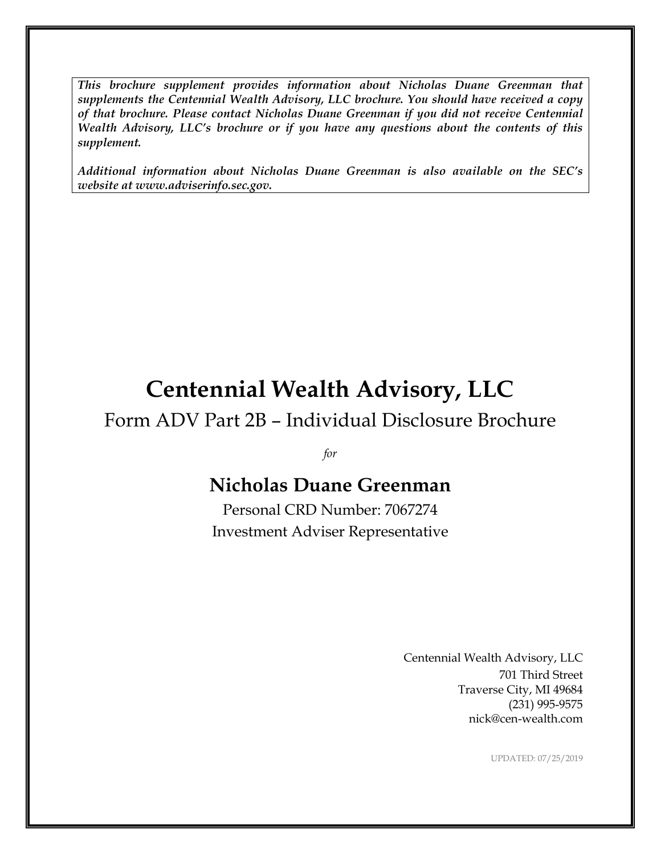*This brochure supplement provides information about Nicholas Duane Greenman that supplements the Centennial Wealth Advisory, LLC brochure. You should have received a copy of that brochure. Please contact Nicholas Duane Greenman if you did not receive Centennial Wealth Advisory, LLC's brochure or if you have any questions about the contents of this supplement.*

*Additional information about Nicholas Duane Greenman is also available on the SEC's website at www.adviserinfo.sec.gov.*

# **Centennial Wealth Advisory, LLC**

### Form ADV Part 2B – Individual Disclosure Brochure

*for*

## **Nicholas Duane Greenman**

Personal CRD Number: 7067274 Investment Adviser Representative

> Centennial Wealth Advisory, LLC 701 Third Street Traverse City, MI 49684 (231) 995-9575 nick@cen-wealth.com

> > UPDATED: 07/25/2019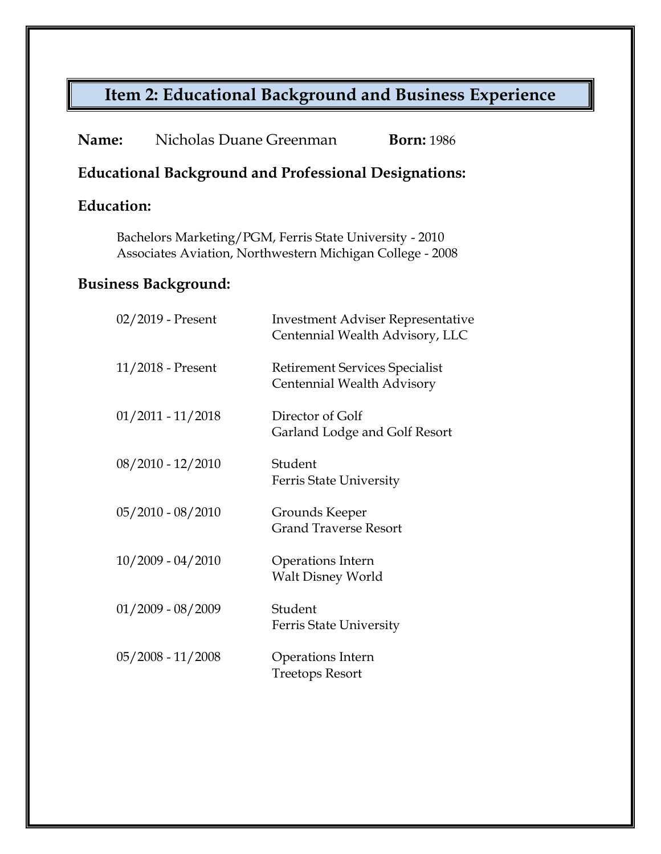# **Item 2: Educational Background and Business Experience**

| Name:                                                                                                                | Nicholas Duane Greenman |                                                                     | <b>Born: 1986</b>                        |
|----------------------------------------------------------------------------------------------------------------------|-------------------------|---------------------------------------------------------------------|------------------------------------------|
| <b>Educational Background and Professional Designations:</b>                                                         |                         |                                                                     |                                          |
| <b>Education:</b>                                                                                                    |                         |                                                                     |                                          |
| Bachelors Marketing/PGM, Ferris State University - 2010<br>Associates Aviation, Northwestern Michigan College - 2008 |                         |                                                                     |                                          |
| <b>Business Background:</b>                                                                                          |                         |                                                                     |                                          |
|                                                                                                                      | 02/2019 - Present       | Centennial Wealth Advisory, LLC                                     | <b>Investment Adviser Representative</b> |
|                                                                                                                      | $11/2018$ - Present     | <b>Retirement Services Specialist</b><br>Centennial Wealth Advisory |                                          |
|                                                                                                                      | $01/2011 - 11/2018$     | Director of Golf<br>Garland Lodge and Golf Resort                   |                                          |
|                                                                                                                      | $08/2010 - 12/2010$     | Student<br>Ferris State University                                  |                                          |
|                                                                                                                      | $05/2010 - 08/2010$     | Grounds Keeper<br><b>Grand Traverse Resort</b>                      |                                          |
|                                                                                                                      | $10/2009 - 04/2010$     | Operations Intern<br><b>Walt Disney World</b>                       |                                          |
|                                                                                                                      | $01/2009 - 08/2009$     | Student<br>Ferris State University                                  |                                          |
|                                                                                                                      | $05/2008 - 11/2008$     | Operations Intern<br><b>Treetops Resort</b>                         |                                          |